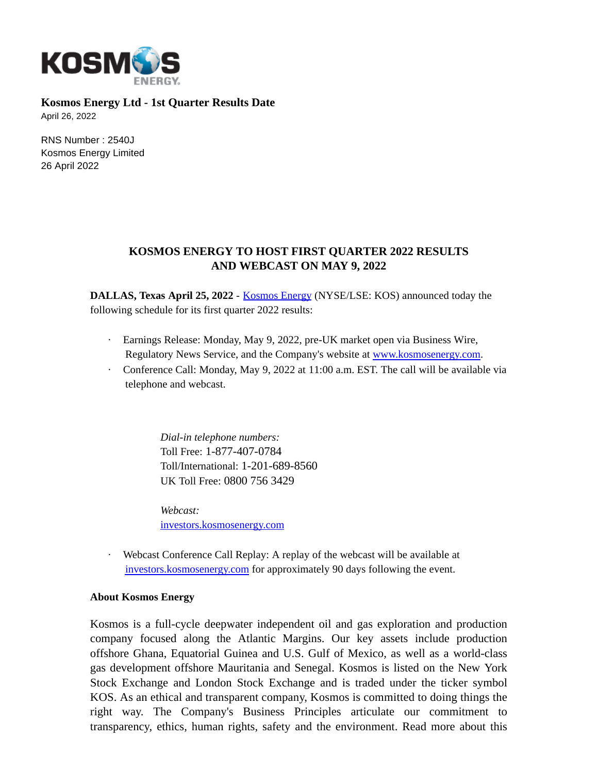

**Kosmos Energy Ltd - 1st Quarter Results Date** April 26, 2022

RNS Number : 2540J Kosmos Energy Limited 26 April 2022

# **KOSMOS ENERGY TO HOST FIRST QUARTER 2022 RESULTS AND WEBCAST ON MAY 9, 2022**

**DALLAS, Texas April 25, 2022** - [Kosmos Energy](http://www.kosmosenergy.com/) (NYSE/LSE: KOS) announced today the following schedule for its first quarter 2022 results:

- · Earnings Release: Monday, May 9, 2022, pre-UK market open via Business Wire, Regulatory News Service, and the Company's website at [www.kosmosenergy.com.](http://www.kosmosenergy.com/)
- · Conference Call: Monday, May 9, 2022 at 11:00 a.m. EST. The call will be available via telephone and webcast.

*Dial-in telephone numbers:* Toll Free: 1-877-407-0784 Toll/International: 1-201-689-8560 UK Toll Free: 0800 756 3429

*Webcast:* [investors.kosmosenergy.com](http://investors.kosmosenergy.com/phoenix.zhtml?c=238878&p=irol-IRHome)

· Webcast Conference Call Replay: A replay of the webcast will be available at [investors.kosmosenergy.com f](http://investors.kosmosenergy.com/phoenix.zhtml?c=238878&p=irol-IRHome)or approximately 90 days following the event.

## **About Kosmos Energy**

Kosmos is a full-cycle deepwater independent oil and gas exploration and production company focused along the Atlantic Margins. Our key assets include production offshore Ghana, Equatorial Guinea and U.S. Gulf of Mexico, as well as a world-class gas development offshore Mauritania and Senegal. Kosmos is listed on the New York Stock Exchange and London Stock Exchange and is traded under the ticker symbol KOS. As an ethical and transparent company, Kosmos is committed to doing things the right way. The Company's Business Principles articulate our commitment to transparency, ethics, human rights, safety and the environment. Read more about this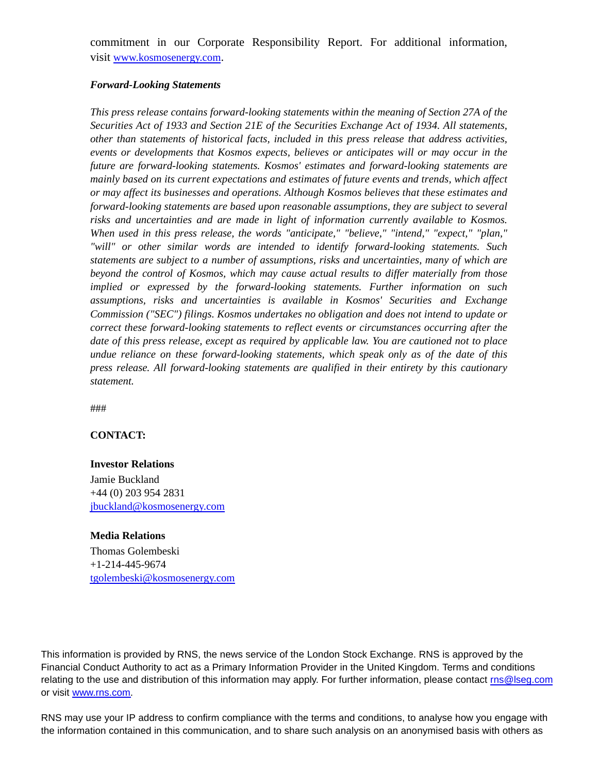commitment in our Corporate Responsibility Report. For additional information, visit [www.kosmosenergy.com](https://cts.businesswire.com/ct/CT?id=smartlink&url=http%3A%2F%2Fwww.kosmosenergy.com&esheet=52300145&newsitemid=20201004005039&lan=en-US&anchor=www.kosmosenergy.com&index=2&md5=51e917815539d130f3cdb2e33f1afa91).

### *Forward-Looking Statements*

*This press release contains forward-looking statements within the meaning of Section 27A of the Securities Act of 1933 and Section 21E of the Securities Exchange Act of 1934. All statements, other than statements of historical facts, included in this press release that address activities, events or developments that Kosmos expects, believes or anticipates will or may occur in the future are forward-looking statements. Kosmos' estimates and forward-looking statements are mainly based on its current expectations and estimates of future events and trends, which affect or may affect its businesses and operations. Although Kosmos believes that these estimates and forward-looking statements are based upon reasonable assumptions, they are subject to several risks and uncertainties and are made in light of information currently available to Kosmos. When used in this press release, the words "anticipate," "believe," "intend," "expect," "plan," "will" or other similar words are intended to identify forward-looking statements. Such statements are subject to a number of assumptions, risks and uncertainties, many of which are beyond the control of Kosmos, which may cause actual results to differ materially from those implied or expressed by the forward-looking statements. Further information on such assumptions, risks and uncertainties is available in Kosmos' Securities and Exchange Commission ("SEC") filings. Kosmos undertakes no obligation and does not intend to update or correct these forward-looking statements to reflect events or circumstances occurring after the date of this press release, except as required by applicable law. You are cautioned not to place undue reliance on these forward-looking statements, which speak only as of the date of this press release. All forward-looking statements are qualified in their entirety by this cautionary statement.*

###

## **CONTACT:**

## **Investor Relations** Jamie Buckland

+44 (0) 203 954 2831 [jbuckland@kosmosenergy.com](mailto:nshah@kosmosenergy.com)

### **Media Relations**

Thomas Golembeski +1-214-445-9674 [tgolembeski@kosmosenergy.com](mailto:tgolembeski@kosmosenergy.com)

This information is provided by RNS, the news service of the London Stock Exchange. RNS is approved by the Financial Conduct Authority to act as a Primary Information Provider in the United Kingdom. Terms and conditions relating to the use and distribution of this information may apply. For further information, please contact [rns@lseg.com](mailto:rns@lseg.com) or visit [www.rns.com.](http://www.rns.com/)

RNS may use your IP address to confirm compliance with the terms and conditions, to analyse how you engage with the information contained in this communication, and to share such analysis on an anonymised basis with others as